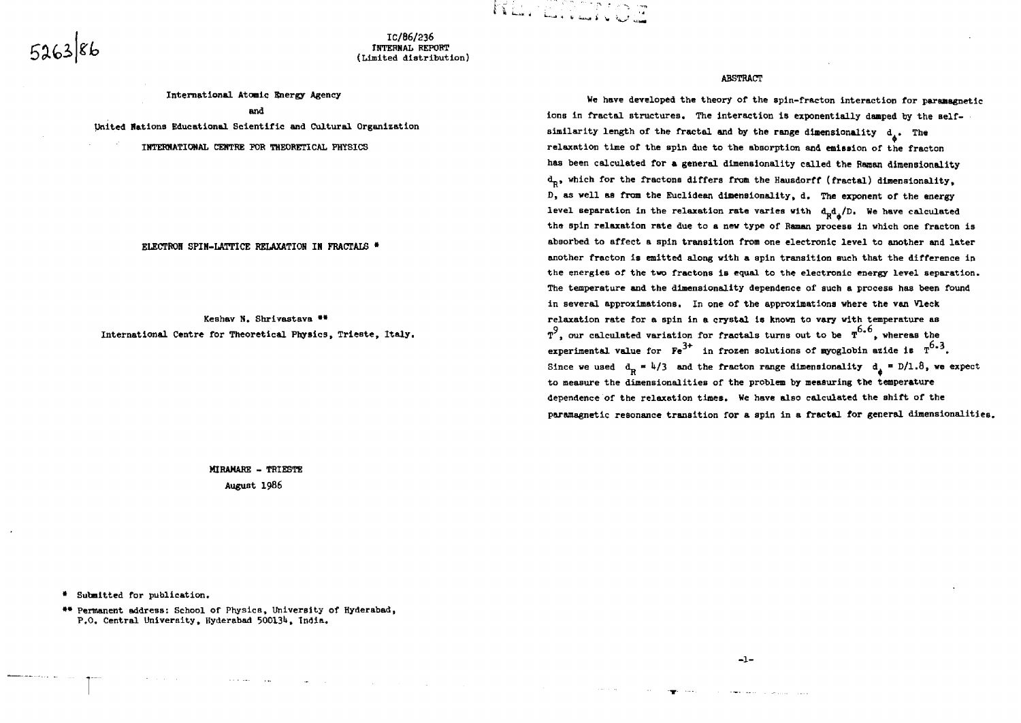**IC/86/236 IHTEHNAL REPORT (Limited distribution)** KL. DDINGE

**International Atomic Energy Agency and United Nations Educational Scientific and Cultural Organization**

**IHTERHATIOWAL CENTRE FOR THEORETICAL PHYSICS**

**ELECTRON SPIN-LATTICE RELAXATION IN FRACTALS •**

Keshav N. Shrivastava \*\* **International Centre for Theoretical Physic9, Trieste, Italy.**

> **MIRAMRRE - TRIESTE August 1986**

**ABSTRACT**

**We have developed the theory of the spln-fracton interaction for paraaagnetic** ions in fractal structures. The interaction is exponentially damped by the selfsimilarity length of the fractal and by the range dimensionality  $d_{\lambda}$ . The **relaxation time of the spin due to the absorption and emission of the fracton has been calculated for a general dimensionality called the fianan dimensionality dp, which for the fractons differs from the Hausdorff (fractal) dimensionality, D, as well as from the Euclidean dimensionality, d. The exponent of the energy** level separation in the relaxation rate varies with  $d^d_{\bf R} d^d_{\bf R} /D$ . We have calculated **the spin relaxation rate due to a new type of Raman process in which one fracton is absorbed to affect a spin transition from one electronic level to another and later another fracton is emitted along with a spin transition Buch that the difference in the energies of the two fractons is equal to the electronic energy level separation. The temperature and the dimensionality dependence of such a process has been found in several approximations. In one of the approximations where the van Vleck relaxation rate for a spin in a crystal is known to vary with temperature as T , our calculated variation for fractals turns out to be T " , whereas the experimental value for**  $\mathbf{F}e^{3+}$  **in frozen solutions of myoglobin azide is**  $T^{6-3}$ **.** Since we used  $d_p = \frac{1}{3}$  and the fracton range dimensionality  $d_a = D/1.8$ , we expect **to measure the dimensionalities of the problem by measuring the temperature dependence of the relaxation times. We have also calculated the shift of the paramagnetic resonance transition for a spin in a fractal for general dimensionalities.**

**• Submitted for publication.**

**•• Permanent address: School of Physics, University of Hyderabad, P.O. Central University, Hyderabad 5OO13lt, India.**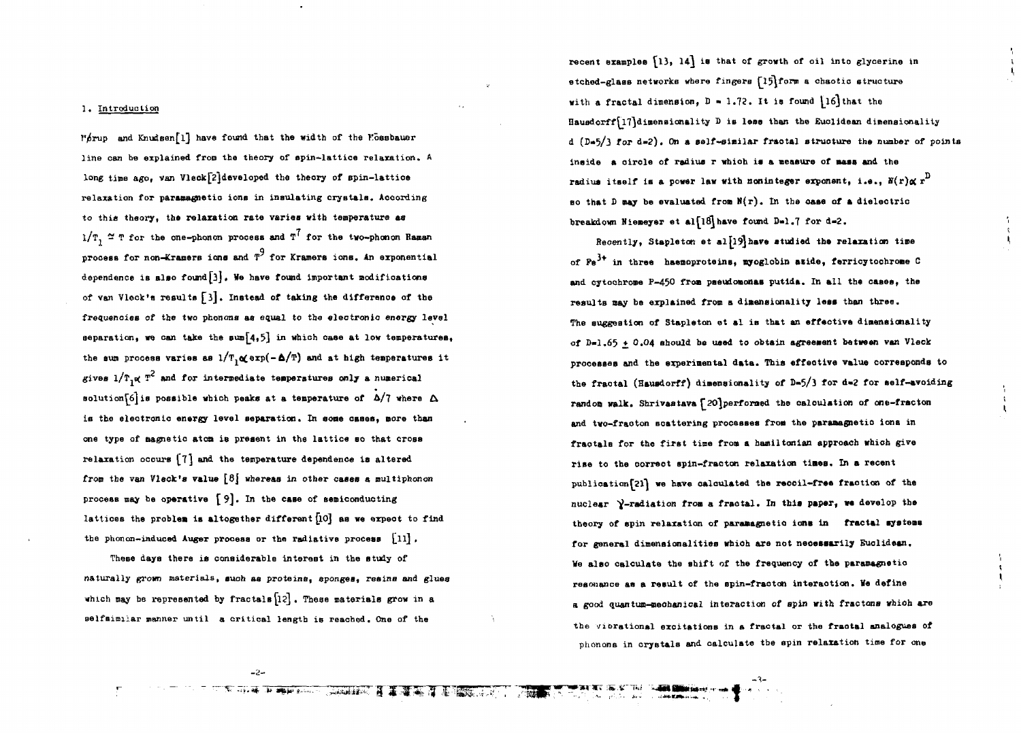#### **1. Introduction**

**V^rup and Knudsenfl] have found, that the width of the Kossbauer line can be explained from the theory of spin-lattice relaxation. A** long time ago, van Vleck<sup>[2]</sup>developed the theory of spin-lattice **relaxation for paramagnetic ions in insulating crystals. According to this theory, the relaxation rate varies with temperature as**  $1/T$ ,  $\approx$  T for the one-phonon process and T<sup>7</sup> for the two-phonon Baman **q process for non-Kramers ions and T for Kramers ionB. An exponential dependence is also found[3] • We have found important modifications of van V lock'a results £l] . Instead of taking the difference of the frequencies of the two phonons as equal to the electronic energy level** separation, we can take the sum  $\{4, 5\}$  in which case at low temperatures, the sum process varies as  $1/T$ <sub>1</sub> $\alpha$ <sub>2</sub> erp( $-\Delta/T$ ) and at high temperatures it  $g$ ives  $1/T$ <sub>1</sub> $\alpha$ <sup>2</sup> and for intermediate temperatures only a numerical **solution** $6$  is possible which peaks at a temperature of  $\Delta/7$  where  $\Delta$ **is the electronic energy level separation. In some cases, more than one type of magnetic aton is present in the lattice so that cross relaxation occurs ^7] and the temperature dependence is altered** from the van Vleck's value  $\{8\}$  whereas in other cases a multiphonon **process may be operative [9] . In the case of semiconducting** lattices the problem is altogether different [10] as we erpect to find **the phonon-induced Auger process or the radiative process £ll]** *.*

**These days there is considerable interest in the study of naturally grown materials, such as proteins, sponges, resins and glues which nay be represented by fractals[l?] . These materials grow in a**  $B$ **Belfsimilar manner until a critical length is reached. One of the** 

recent examples  $\{13, 14\}$  is that of growth of oil into glycerine in **etched-glass networks where fingers fl^form a chaotic structure** with a fractal dimension,  $D = 1.72$ . It is found  $\{16\}$ that the Hausdorff<sup>[17]</sup>dimensionality D is less than the Euclidean dimensionality **d (D«5/3 for d»2) . On a self-similar fraotal structure the number of points** inside a circle of radius r which is a measure of mass and the **radius itself is a power law with noninteger exponent, i.e.,**  $H(r) \propto r^D$ **so that D may be evaluated from N(r). In the oase of a dielectric** breakdown Niemeyer et al<sup>[18]</sup> have found D<sub>\*1</sub>.7 for d=2.

Recently, Stapleton et al<sup>[19]</sup>have studied the relaxation time **of Pe in three haemoproteins, myoglobin slide, ferricytochrone C and cytoohrome P-450 froa paeudoaonas putida. In all the cases, the results may be explained from a dimensionality lees than three. The suggestion of Stapleton et al is that an effective dimensionality of D-1.65 + O.04 ehould be used to obtain agreement between van Vleck processed and the experimental data. This effective value corresponds to the fraotal (Hausdorff) dimensionality of B-5/3 for d»2 for self-avoiding random walk. Shrivastava £20)perforaed the calculation of one-fracton and two-fraoton scattering processes from the paramagnetic ions in fractals for tbe first time from a hamiltonian approach which give rise to the correct spin-fracton relaxation tines. In a recent publicatian[2l} we have calculated tbe reooil-free fraction of the** nuclear Y-radiation from a fractal. In this paper, we develop the **theory of spin relaxation of paramagnetia ions in fractal systems for general dimensionalities whioh are not neoessaxily Euclidean. Me also calculate the shift of the frequency of the paramagnetio resonance as a result of the opin-fraoton interaction. Ve define a good quantum-meohanic&l interaction of spin with, fractans which are** the vibrational excitations in a fractal or the fractal analogues of **phonons in crystals and calculate the spin relaxation time for one**

**-t**

**The Country of the State Association** 

**CONTROL BOOT AND A REPORT OF THE R**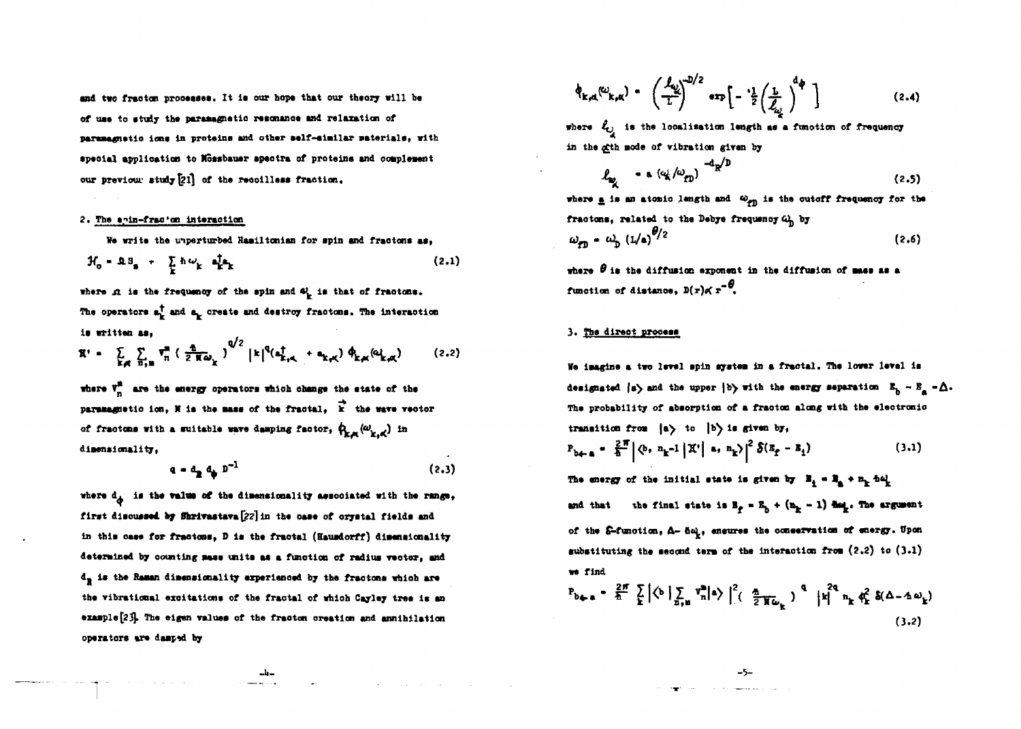and two fracton processes. It is our hope that our theory will be of use to study the paramagnetic resonance and relaxation of paramagnetic ions in proteins and other self-similar materials, with special application to Mossbauer spectra of proteins and complement our previour study [21] of the recoilless fraction.

### 2. The anin-fracton interaction

We write the unperturbed Hamiltonian for spin and fractons as.

$$
\mathcal{H}_0 = \mathfrak{A} \mathfrak{A}_\mathbf{S} + \sum_{\mathbf{k}} \hbar \omega_{\mathbf{k}} \mathfrak{A}_{\mathbf{k}}^{\dagger} \mathfrak{A}_{\mathbf{k}} \tag{2.1}
$$

where  $\Omega$  is the frequency of the spin and  $\Omega$ , is that of fractons. The operators  $a_k^{\dagger}$  and  $a_k$  create and destroy fractons. The interaction is written as,

$$
\mathbf{X}^{\prime} = \sum_{\mathbf{k}, \mathbf{q}} \sum_{n, n} \mathbf{v}_{n}^{n} \left( \frac{\mathbf{q}}{2 \mathbf{K} \omega_{\mathbf{k}}} \right)^{Q/2} |\mathbf{k}|^{Q} (\mathbf{a}_{\mathbf{k}, \mathbf{q}, \mathbf{q}}^{\dagger} + \mathbf{a}_{\mathbf{k}, \mathbf{q}, \mathbf{q}}) \varphi_{\mathbf{k}, \mathbf{q}, \mathbf{q}}(\omega_{\mathbf{k}, \mathbf{q}, \mathbf{q}})
$$
(2.2)

where  $V_n^2$  are the energy operators which change the state of the paramagnetic ion, N is the mass of the fractal.  $\overrightarrow{k}$  the wave vector of fractons with a suitable wave damping factor,  $\phi_{k,m}(\omega_{k,m'})$  in dimensionality.

$$
\mathbf{q} = \mathbf{d}_{\mathbf{R}} \mathbf{q} \mathbf{p}^{-1} \tag{2.3}
$$

where  $d_A$  is the value of the dimensionality associated with the range, first discussed by Shrivastava [22] in the case of orystal fields and in this case for fractons, D is the fractal (Hausdorff) disensionality determined by counting mass units as a function of radius vector, and  $d_{\rm R}$  is the Raman dimensionality experienced by the fractons which are the vibrational excitations of the fractal of which Cayley tree is an example [23]. The eigen values of the fracton creation and annihilation operators are damped by

$$
\phi_{k,d}(\omega_{k,d}) = \left(\frac{f_{\omega}}{L}\right)^{D/2} \exp\left[-\frac{1}{2}\left(\frac{L}{f_{\omega}}\right)^{d\phi}\right]
$$
 (2.4)

where  $\ell_{ij}$  is the localisation length as a function of frequency in the gith mode of vibration given by

$$
\ell_{\omega_{\lambda}} \sim \alpha (\omega_{\lambda}/\omega_{\text{CD}})^{-d_{\text{R}}/D} \tag{2.5}
$$

where  $\underline{a}$  is an atomic length and  $\omega_{\text{eff}}$  is the cutoff frequency for the fractons, related to the Debye frequency  $\omega_{\rm h}$  by  $\omega_{\rm CD} = \omega_{\rm D} (1/a)^{6/2}$  $(2.6)$ 

where  $\theta$  is the diffusion exponent in the diffusion of mass as a function of distance,  $D(x) \propto x^{-\theta}$ ,

## 3. The direct process

We imagine a two level spin system in a fractal. The lower level is designated  $|a\rangle$  and the upper  $|b\rangle$  with the energy separation  $B_p - B_a - \Delta$ . The probability of absorption of a fracton along with the electronic transition from  $|a\rangle$  to  $|b\rangle$  is given by,

$$
P_{b \leftarrow a} = \frac{2\pi}{a} \left| \Phi, n_{k} - 1 \middle| \mathcal{K}' \right| \quad a, n_{k} \left| \right|^{2} \delta(s_{f} - s_{1}) \tag{3.1}
$$

The energy of the initial state is given by  $B_4 = B_4 + n_b$  help the final state is  $B_p = B_p + (B_p - 1)$  det. The argument and that of the S-function, A- 5a, ensures the conservation of energy. Upon substituting the second term of the interaction from  $(2,2)$  to  $(3.1)$ we find

$$
P_{b+n} = \frac{2\pi}{h} \sum_{k} \left[ \left\langle b \mid \sum_{n,k} v_n^m \right| a \right\rangle \Big|_{\cdot}^{2} \left( \frac{a}{2 \pi \omega_k} \right)^{q} \left| k \right|^{2q} n_k \phi_k^2 \delta(\Delta - \Delta \omega_k)
$$
\n(3.2)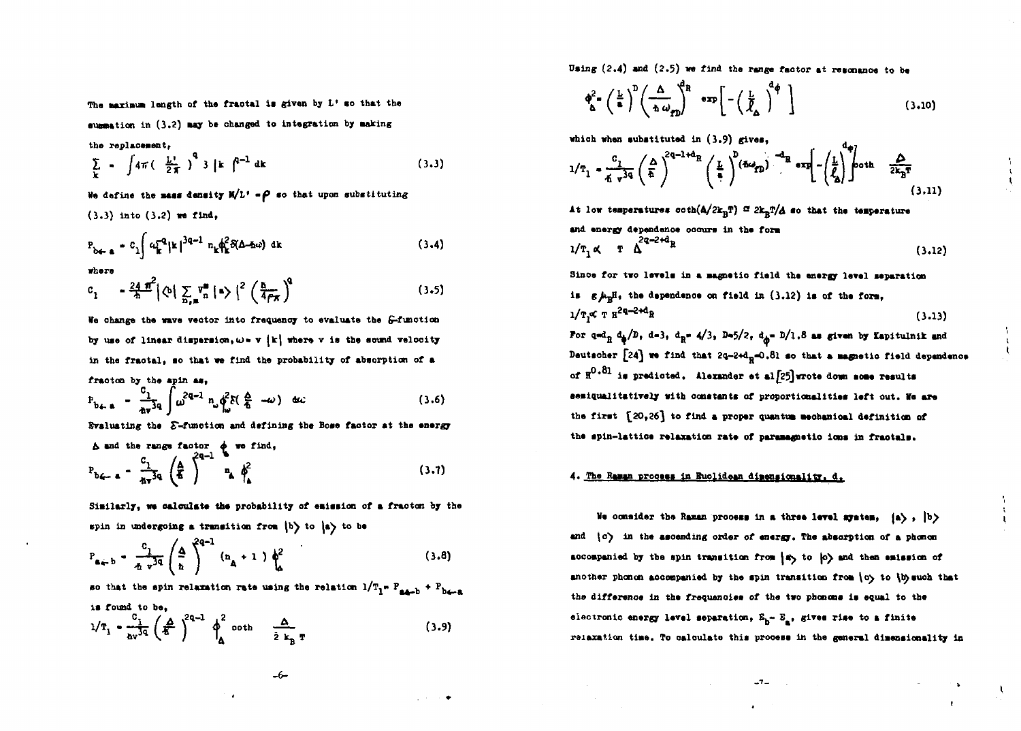The marinum length of the fractal is given by L<sup>1</sup> so that the

summation in (3.2) may be changed to integration by making

**the replacement,**

$$
\sum_{k} = \int 4\pi \left( \frac{L^1}{2\pi} \right)^q 3 \mid k \mid^{q-1} dk
$$
 (3.3)

We define the mass density  $H/L' = \rho$  so that upon substituting **(3.3) Into (3.2) we find,**

$$
P_{b \leftarrow a} = C_1 \int \omega_k^{-2} |k|^{3q-1} n_k \phi_k^2 \delta(\Delta - \hbar \omega) \, \mathrm{d}k \tag{3.4}
$$

**where**

$$
c_1 = \frac{24 \pi^2}{\hbar} |\phi| \sum_{n \neq n} v_n^m | \cdot \rangle|^2 \left( \frac{\hbar}{4 \rho \pi} \right)^n \tag{3.5}
$$

**We ohange the wave vector into frequency to evaluate the ^-function** by use of linear dispersion,  $\omega$  **w**  $\{k\}$  where v is the sound velocity **In the fractal, so that we find the probability of absorption of a fraotoo by the apin as,**

$$
P_{b\leftarrow a} = \frac{c_1}{a\sqrt{3}} \int \omega^{2a-1} n_{\omega} \phi^2 \delta(\frac{a}{b} - \omega) \quad \text{etc.} \tag{3.6}
$$

**Evaluating the** *E***-function and defining the Bose factor at the energy** 

$$
\Delta \text{ and the range factor } \phi \text{ we find,}
$$
\n
$$
P_{b\zeta=a} = \frac{c_1}{4\pi^3 q} \left(\frac{A}{A}\right)^{2q-1} n_A \phi^2
$$
\n(3.7)

Similarly, we calculate the probability of emission of a fracton by the spin in undergoing a transition from  $|b\rangle$  to  $|a\rangle$  to be

$$
P_{a \leftarrow b} = \frac{c_1}{\pi r^{3q}} \left( \frac{\Delta}{n} \right)^{2q-1} (n_A + 1) \phi_a^2
$$
 (3.8)

so that the spin relaxation rate using the relation  $1/T_1 = P_{\text{max}} + P_{\text{max}}$ **ia found to be,**

$$
1/T_1 = \frac{c_1}{\Delta v^{3q}} \left(\frac{A}{\hbar}\right)^{2q-1} \phi_{A}^2 \coth \frac{A}{\lambda} \mathbf{r}
$$
 (3.9)

**Using (2.4) and (2.5) we find the range faotor at resonance to be**

$$
\phi_{\Delta}^{2} = \left(\frac{L}{a}\right)^{D} \left(\frac{\Delta}{h \omega_{rD}}\right)^{d_{R}} \exp\left[-\left(\frac{L}{\tilde{\ell}_{\Delta}}\right)^{d_{\phi}}\right]
$$
(3.10)

 $d_{xx}$ 

**whiah when aubstituted in (3.9) gives,**

$$
1/T_1 = \frac{c_1}{4\pi r^{3q}} \left(\frac{\Delta}{\hbar}\right)^{2q-1+d} R \left(\frac{L}{\hbar}\right)^{p} \left(\frac{d\omega_{rD}}{\hbar}\right)^{-d} R \exp\left(-\left(\frac{L}{\ell_0}\right)^{q} \right) \coth \frac{\Delta}{2k_B T}
$$
\n(3.11)

At low temperatures  $\coth(A/2k_BT) \nightharpoonup 2k_BT/A$  so that the temperature **and energy dependenoe ooaura In the fora**  $1/T_1 \alpha$  T  $\Delta^{2q-2+d}R$  (3.12)

Since for two levels in a magnetic field the energy level separation **is g/tgBi the dependenoe on field in (3.12) is of the fora,**  $1/T$ ,  $\propto T H^{2q-2+d}R$  $\mathbf{R}^{m \times m}$  **h** (3.13) For  $q = d_B d_{\underline{a}}/D$ , d-3,  $d_B = 4/3$ ,  $D = 5/2$ ,  $d_{\underline{a}} = D/1.8$  as given by Eapitulnik and Deutscher [24] we find that 2q-2+d<sub>R</sub>=0.81 so that a magnetic field dependence **of H<sup>0</sup> \* 81 la predicted. Alexander at al|25]wrote down aoae results**

**aeBiqualltatlvely with oonatanta of proportionalities left out. Me are** the first  ${20,26}$  to find a proper quantum mechanical definition of **the apin-lattioe relaxation rate of paraaagnstio ions In fraotals.**

#### 4. The Raman process in Euclidean dimensionality, d.

We consider the Raman process in a three level ayatem,  $(a\,$ ,  $|b\rangle$ **and \o"^ lit the ascending order of energy. The absorption of a phoncn** accompanied by tba spin transition from  $|x\rangle$  to  $|o\rangle$  and then emission of another phonon accompanied by the spin transition from  $\{c\}$  to  $\{\mathfrak{h}\}$  such that **the difference in the frequenoiea of the two phonons is equal to the** electronic energy level separation,  $E_b - E_a$ , gives rise to a finite **raiaxation tiae. To oaloulate this prooess in the general dimensionality in**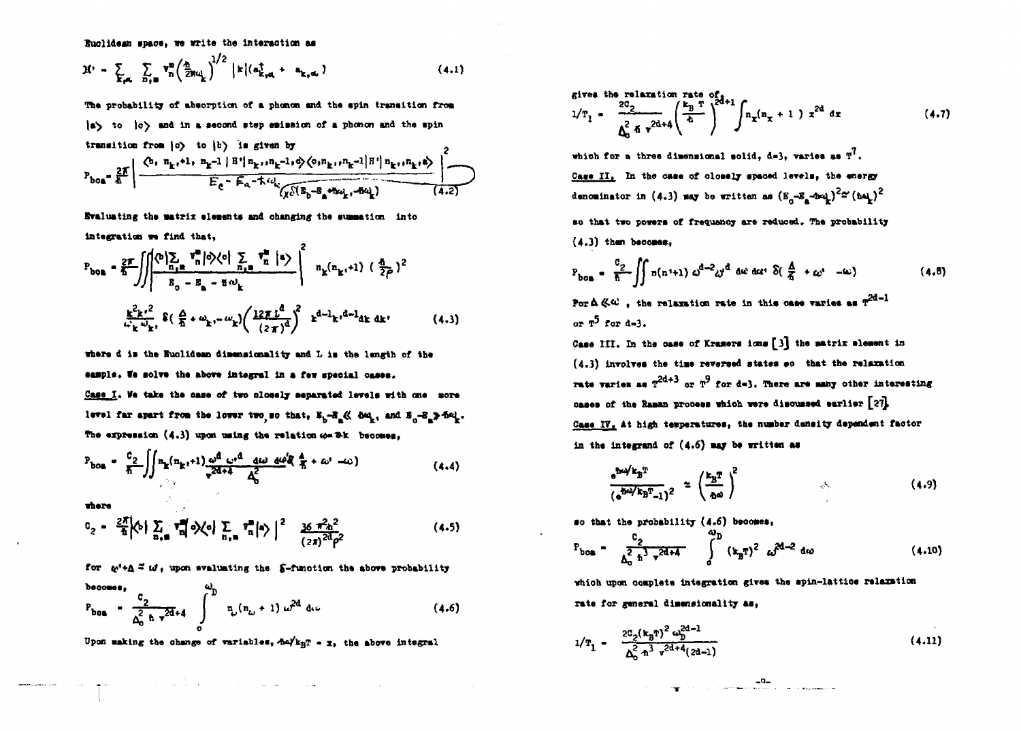**Euclidean space, we write the interaction as** 

$$
\mathfrak{X}^{i} = \sum_{\mathbf{k}, \mathbf{q}_{i}} \sum_{\mathbf{n}_{j} \in \mathbb{R}} \mathbf{v}_{\mathbf{n}}^{\mathbf{m}} \left( \frac{\mathbf{a}_{i}}{2} \mathbf{g}_{\mathbf{q}_{i}} \right)^{1/2} \left| \mathbf{k} \left( \mathbf{a}_{\mathbf{k}, \mathbf{q}_{i}}^{\dagger} + \mathbf{a}_{\mathbf{k}, \mathbf{q}_{i}} \right) \right. \tag{4.1}
$$

**The probability of absorption of a phonon and the spin transition from |a^ to |o^ and In a second step emission of a phonon and the spin**

transition from (c) to (b) is given by  
\n
$$
P_{\text{bos}} = \frac{2F}{\hbar} \left| \frac{\left\langle b, n_{k+}+1, n_{k-1} \mid B^* \right| n_{k+1} n_{k-1} + \phi \right\rangle \left\langle o, n_{k+1} n_{k-1} \mid B^* \right| n_{k+1} n_{k+1} \phi \right\rangle^2}{E_c + E_a - k \omega_{k} \sqrt{\sqrt{(\mathbb{E}_{b} - \mathbb{E}_{a} + \mathbb{E} \omega_{k+1} - \mathbb{E} \omega_{k+1}^2) - (\mathbb{E}_{a} - \mathbb{E}_{a} - \mathbb{E}_{a} - \mathbb{E}_{a} - \mathbb{E}_{a} - \mathbb{E}_{a} - \mathbb{E}_{a} - \mathbb{E}_{a} - \mathbb{E}_{a} - \mathbb{E}_{a} - \mathbb{E}_{a} - \mathbb{E}_{a} - \mathbb{E}_{a} - \mathbb{E}_{a} - \mathbb{E}_{a} - \mathbb{E}_{a} - \mathbb{E}_{a} - \mathbb{E}_{a} - \mathbb{E}_{a} - \mathbb{E}_{a} - \mathbb{E}_{a} - \mathbb{E}_{a} - \mathbb{E}_{a} - \mathbb{E}_{a} - \mathbb{E}_{a} - \mathbb{E}_{a} - \mathbb{E}_{a} - \mathbb{E}_{a} - \mathbb{E}_{a} - \mathbb{E}_{a} - \mathbb{E}_{a} - \mathbb{E}_{a} - \mathbb{E}_{a} - \mathbb{E}_{a} - \mathbb{E}_{a} - \mathbb{E}_{a} - \mathbb{E}_{a} - \mathbb{E}_{a} - \mathbb{E}_{a} - \mathbb{E}_{a} - \mathbb{E}_{a} - \mathbb{E}_{a} - \mathbb{E}_{a} - \mathbb{E}_{a} - \mathbb{E}_{a} - \mathbb{E}_{a} - \mathbb{E}_{a} - \mathbb{E}_{a} - \mathbb{E}_{a} - \mathbb{E}_{a} - \mathbb{E}_{a} - \mathbb{E}_{a} - \mathbb{E}_{a} - \mathbb{E}_{a} - \mathbb{E}_{a} - \mathbb{E}_{a} - \mathbb{E}_{a} - \mathbb{E}_{a} - \mathbb{E}_{a} - \mathbb{E}_{a} - \mathbb{E}_{a} - \mathbb{E}_{a} - \mathbb
$$

**Evaluating the matrix elements and ohanging the summation into Integration we find that,**

$$
P_{\text{box}} = \frac{2\pi}{h} \iiint_{B_0 - B_{\text{max}}} \sqrt{\frac{m_0 \sum_i v_i^2}{n_0} |\phi\rangle \langle e| \sum_{n_1, n_2} v_n^2 |e\rangle}} \sqrt{\frac{n_k(n_{k_1}+1)}{n_k(n_{k_1}+1)} (\frac{n_1}{2\rho})^2}
$$
  

$$
\frac{k^2 k^2}{n_k \omega_{k_1}} \delta\left(\frac{\Delta}{h} + \omega_{k_1} - \omega_k\right) \left(\frac{12\pi L^d}{(2\pi)^d}\right)^2 \kappa^{d-1} k^2 \omega_{k_1} d e \omega_{k_1}
$$
 (4.3)

**where d la the Euclidean dimensionality and L la the length of the aaajpla. fa aolv\* tha above integral In a few special oaaea.**

Case I. We take the case of two olosely separated levels with one more level far apart from the lower two so that,  $E_b - E_a$  &  $\delta \omega_k$ , and  $E_a - E_a$  and The expression (4.3) upon using the relation  $\omega = 3k$  becomes,

$$
P_{\text{box}} = \frac{c_2}{\hbar} \iint n_{\text{R}} (n_{\text{R}} + 1) \frac{\omega^d}{\sqrt{2d+4}} \frac{\omega^d}{\Delta_0^2} \frac{d\omega}{\Delta_0^2} \frac{d\omega^d}{\hbar} + \omega^r - \omega \tag{4.4}
$$

**where**

$$
C_2 = \frac{2\pi}{h} \left\langle 0 \right| \sum_{n,m} \tau_n^m \left| 0 \right\rangle \left\langle 0 \right| \sum_{n,m} \tau_n^m \left| 0 \right\rangle \Big|^2 \frac{36 \pi^2 h^2}{(2\pi)^{20} \rho^2} \tag{4.5}
$$

for  $\psi^i$ +A<sup>2</sup> is, upon evaluating the 5-function the above probability

$$
P_{\text{boa}} = \frac{c_2}{\Delta_0^2 h v^{2d+4}} \int_0^{\omega_D} n_{\omega} (n_{\omega} + 1) \omega^{2d} d\omega \qquad (4.6)
$$

Upon making the change of variables,  $\Delta \omega / k_{\rm B}$  - x, the above integral

**give\* the relaxation rate of 2** (4.7)

which for a three dimensional solid, d=3, varies as  $T^7$ . **Caae II. In the oaae of closely apaoed lerela, the energy** denominator in  $(4.3)$  may be written as  $(E_{\alpha} - E_{\alpha} - 4n\omega_{\alpha})^2$   $\simeq (4.4)^2$ **so that two powera of frequenoy are reduced. The probability (4.3) than becomes,**

$$
P_{\text{bos}} = \frac{c_2}{\hbar} \iint n(n'+1) \omega^{d-2} \omega^d \ \text{d}\omega \ \text{d}\omega \ \delta(\frac{\Delta}{\hbar} + \omega^* - \omega) \tag{4.8}
$$

**Por**  $\Delta \ll 1$ , the relaxation rate in this case varies as  $T^{2d-1}$ **or r for d»3.**

Case III. In the case of Kramers ions [3] the matrix element in **(4.3) involvea the tiae reversed states eo that the relaxation rate varies as**  $T^{2d+3}$  **or**  $T^9$  **for d=3. There are many other interesting oaaea of the Raman prooeaa whloh were discussed earlier \2T} Caae TV. At high teapermturea, the number density dependent factor** in the integrand of  $(4.6)$  may be written as

$$
\frac{e^{i\omega/k}B^{T}}{(e^{i\omega/k}B^{T}-1)^{2}} \approx \left(\frac{k_{B}T}{\Delta\omega}\right)^{2}
$$
 (4.9)

**so that the probability (4.6) beoomes,**

$$
P_{\text{bos}} = \frac{c_2}{\Delta_0^2 h^3 \tau^{2d+4}} \int_0^{\infty} (k_B T)^2 \omega^{2d-2} d\omega \qquad (4.10)
$$

**vhioh upon complete Integration gives the apin-lattioe relaxation rate for general dimensionality as,**

$$
1/T_1 = \frac{2c_2(\kappa_B T)^2 \omega_D^{2d-1}}{\Delta_0^2 n^3 r^{2d+4} (2d-1)}
$$
 (4.11)

and a strong of the state of the state of the state of the state of the state of the state of the state of the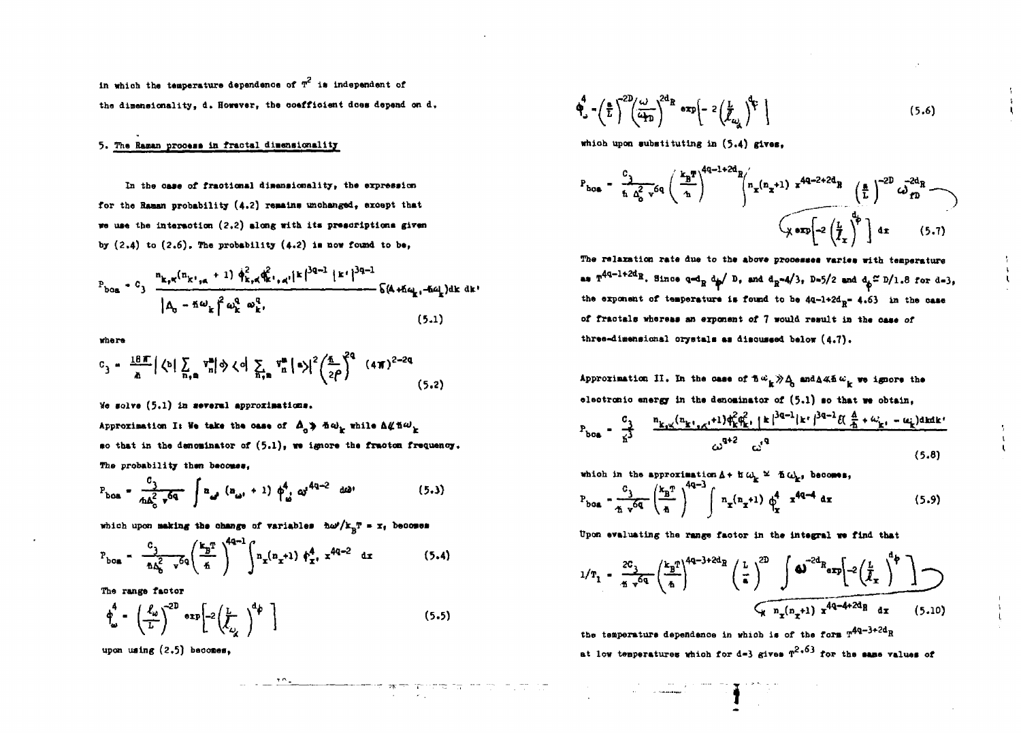in which the temperature dependence of  $T^2$  is independent of the dimensionality, d. However, the coefficient does depend on d.

# 5. The Raman process in fractal dimensionality

In the case of fractional dimensionality, the expression for the Raman probability (4.2) remains unchanged, except that we use the interaction (2.2) along with its prescriptions given by  $(2.4)$  to  $(2.6)$ . The probability  $(4.2)$  is now found to be,

$$
P_{\text{box}} = C_3 \frac{n_{k,\pi}(n_{k^*,\pi} + 1) \phi_{k,\pi}^2 \phi_k^2 \phi_{k^*,\pi^*}^2 |k|^{\frac{3q-1}{2}} |k^*|^{\frac{3q-1}{2}}}{|A_0 - \hbar \omega_k|^2 \omega_k^q \omega_k^q} \frac{\phi_k^q \phi_k^q}{\phi_k^q}
$$
 (5.1)

where

$$
c_3 = \frac{18\pi}{\hbar} \left| \left\langle b \right| \sum_{n,m} \mathbf{v}_n^m \right| \phi \left\langle c \right| \sum_{n,m} \mathbf{v}_n^m \left| a \right\rangle \left| \frac{2}{2\rho} \int_0^{\frac{\pi}{2}} (4\pi)^{2-2q} \right|
$$
 (5.2)

We solve (5.1) in several approximations.

Approximation I: We take the case of  $\Delta_{\alpha}$  >  $\Delta \omega_{k}$  while  $\Delta \not\subset \Delta \omega_{k}$ so that in the denominator of  $(5.1)$ , we ignore the fracton frequency. The probability then becomes.

$$
P_{\text{boa}} = \frac{c_3}{4\Delta_0^2 \sqrt{q}} \int a_{\omega l} (a_{\omega l} + 1) \phi_{\omega}^4 \omega^{4q-2} d\omega
$$
 (5.3)

which upon making the change of variables  $\hbar \omega^2 / k_{\rm B} T = x_t$  becomes

$$
P_{\text{box}} = \frac{c_3}{\Delta \Delta_0^2 - v^6 q} \left( \frac{k_B T}{\Delta} \right)^{4q-1} \int n_x (n_x + 1) \phi_x^4, x^{4q-2} dx \qquad (5.4)
$$

The range factor

$$
\phi_{\omega}^4 - \left(\frac{\ell_{\omega}}{L}\right)^{2D} \exp\left[-2\left(\frac{L}{\ell_{\omega_{\chi}}}\right)^{d_{\phi}}\right]
$$
\n(5.5)

upon using  $(2.5)$  becomes.

$$
\Phi_{\omega}^4 - \left(\frac{a}{L}\right)^{2D} \left(\frac{\omega}{4\pi}\right)^{2d} R \exp\left(-2\left(\frac{L}{\ell_{\omega_{\omega}}}\right)^{2} \right) \tag{5.6}
$$

which upon substituting in (5.4) gives.

$$
P_{\text{ho}} = \frac{c_1}{\hbar \Delta_0^2 v} \epsilon q \left( \frac{k_B T}{\hbar} \right)^{4q-1+2d} R \left( n_x + 1 \right) x^{4q-2+2d} R \left( \frac{a}{L} \right)^{-2D} \omega_{ID}^{-2d} R
$$
  

$$
\omega_{D} = \omega \left( \frac{1}{\hbar} \right)^{4p} dx \qquad (5.7)
$$

The relaxation rate due to the above processes varies with temperature as  $T^{4q-1+2d}R$ . Since  $q = 1$ <sub>R</sub> d<sub>p</sub>/ D, and  $d_R = 4/3$ , D=5/2 and  $d_p \approx D/1.8$  for d=3, the exponent of temperature is found to be  $4q-1+2d$ <sub>p</sub>=  $4.63$  in the case of fractals whereas an exponent of 7 would result in the case of three-dimensional orystals as discussed below (4.7).

Approximation II. In the case of  $\hbar \omega_{\mu} \gg \Delta_{\mu}$  and  $\Delta \ll \hbar \omega_{\mu}$  we ignore the electronic energy in the denominator of  $(5.1)$  so that we obtain,

$$
P_{\text{bos}} = \frac{c_3}{x^3} = \frac{n_{k_1x}(n_{k_1x}+1)\phi_k^2 \phi_k^2 + |k|^{3q-1} |k|^3 - \mathcal{U}(\frac{4}{x}+\omega_{k_1}-\omega_k) \text{and } k}{\omega^{q+2} - \omega^2}
$$
\n(5.8)

which in the approximation  $\Delta$  + if  $\omega_{\mathbf{k}} \cong \Delta \omega_{\mathbf{k}}$ , becomes,

$$
P_{\text{box}} = \frac{c_3}{\pi \sqrt{6q}} \left(\frac{k_B T}{\hbar}\right)^{4q-3} \int n_x(n_x+1) \phi_x^4 \pi^{4q-4} dx \qquad (5.9)
$$

Upon evaluating the range factor in the integral we find that

$$
1/T_1 = \frac{2C_3}{\pi \sqrt{q}} \left(\frac{k_B T}{\hbar}\right)^{4q-3+2d_B} \left(\frac{L}{\hbar}\right)^{2D} \int \Phi^{-2d_R} \exp\left[-2\left(\frac{L}{\ell_x}\right)^{d_{\phi}}\right]
$$
  

$$
\sqrt{n_x(n_x+1) x^{4q-4+2d_B} a_x}
$$
 (5.10)

the temperature dependence in which is of the form  $T^{4q-3+2d}R$ at low temperatures which for d=3 gives  $T^{2,63}$  for the same values of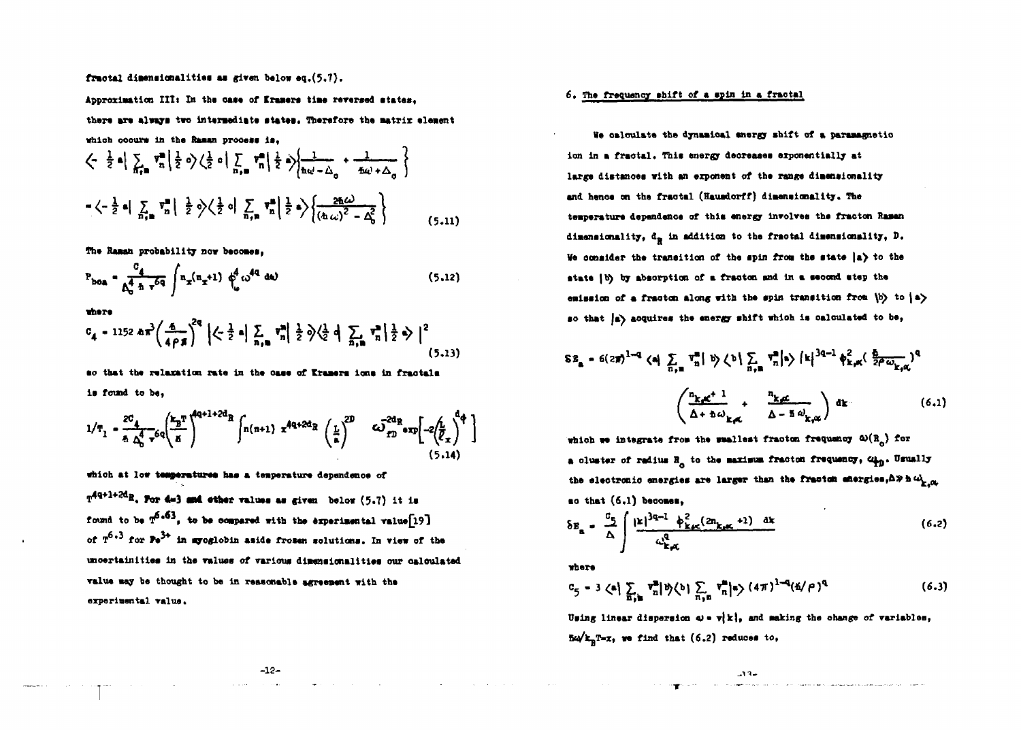fractal dimensionalities as given below eq. (5.7).

Approximation III: In the case of Eramers time reversed states. there are always two intermediate states. Therefore the matrix element which occurs in the Raman process is.

The Raman probability now becomes.

$$
P_{\text{boa}} = \frac{c_4}{\Delta_0^4 \hbar \, v^{6q}} \int n_x (n_x + 1) \, \phi_0^4 \, \omega^{4q} \, \text{d}\omega \tag{5.12}
$$

there

$$
c_4 = 1152 \text{ km}^3 \left( \frac{6}{4 \rho \pi} \right)^{2q} \left| \left\langle \frac{1}{2} \alpha \right| \sum_{n_1 n_2} v_n^m \right| \frac{1}{2} \phi \left\langle \frac{1}{2} \alpha \right| \sum_{n_1 n_2} v_n^m \left| \frac{1}{2} \phi \right| \right|^2 \tag{5.13}
$$

so that the relaxation rate in the case of Kramers ions in fractals is found to be,

$$
1/T_1 = \frac{20}{\hbar} \frac{1}{\Delta_0^4 - \rho} \sigma_q \left(\frac{k_B T}{\hbar}\right)^{4Q+1+2d_R} \int n(n+1) x^{4Q+2d_R} \left(\frac{1}{\hbar}\right)^{2D} G \left(\frac{1}{2}n\right)^{2d_R} \exp\left(-2\left(\frac{1}{\ell_x}\right)^{d} + \frac{1}{2}\right)
$$
(5.14)

which at low temperatures has a temperature dependence of

 $T^{4q+1+2d}$ R. For d=3 and other values as given below (5.7) it is found to be  $T^{6.63}$ , to be compared with the experimental value[19] of  $T^{6+3}$  for  $Pe^{3+}$  in apoglobin aside frozen solutions. In view of the uncertainities in the values of various dimensionalities our calculated value may be thought to be in reasonable agreement with the experimental value.

### 6. The frequency shift of a spin in a fractal

We calculate the dynamical energy shift of a paramagnetic ion in a fractal. This energy decreases exponentially at large distances with an exponent of the range dimensionality and hence on the fractal (Hausdorff) dimensionality. The temperature dependence of this energy involves the fracton Rasan dimensionality,  $d_p$  in addition to the fractal dimensionality, D. We consider the transition of the spin from the state  $|a\rangle$  to the state (b) by absorption of a fracton and in a second step the emission of a fracton along with the spin transition from  $(b)$  to  $(a)$ so that (a) acquires the energy shift which is calculated to be,

$$
\delta E_{\mathbf{a}} = 6(2\pi)^{1-q} \langle \mathbf{a} | \sum_{\alpha,\mathbf{a}} \mathbf{v}_{\mathbf{n}}^{\mathbf{a}} | \mathbf{b} \rangle \langle \mathbf{b} | \sum_{\alpha,\mathbf{a}} \mathbf{v}_{\mathbf{n}}^{\mathbf{a}} | \mathbf{a} \rangle \langle \mathbf{k} |^{3q-1} \phi_{\mathbf{k},\mathbf{a}}^2 \langle \frac{\delta}{2\rho \omega_{\mathbf{k},\mathbf{a}}}\rangle^q
$$

$$
\left( \frac{n_{\mathbf{k},\mathbf{a}}^2 + 1}{\Delta + \delta \omega_{\mathbf{k},\mathbf{a}}^2} + \frac{n_{\mathbf{k},\mathbf{a}}^2}{\Delta - \delta \omega_{\mathbf{k},\mathbf{a}}^2} \right) d\mathbf{k} \tag{6.1}
$$

which we integrate from the smallest fracton frequency  $\omega(R_0)$  for a cluster of radius R<sub>o</sub> to the maximum fracton frequency, app. Usually the electronic energies are larger than the fracton energies,  $\Delta \gg h \omega_{\chi_0, \alpha}$ so that (6.1) becomes.

$$
\delta E_{\rm a} = \frac{c_5}{\Delta} \int \frac{|\kappa|^{3q-1} \phi_{\kappa,c}^2 (2n_{\kappa,c} + 1) \; \; \mathrm{d} \kappa}{\omega_{\kappa,c}^q} \tag{6.2}
$$

where

$$
c_{5} = 3 \left\langle \mathbf{a} \right| \sum_{\mathbf{n} \in \mathbf{N}} \mathbf{v}_{n}^{\mathbf{n}} | \mathbf{b} \left\langle \mathbf{b} \right| \sum_{\mathbf{n} \in \mathbf{N}} \mathbf{v}_{n}^{\mathbf{n}} | \mathbf{s} \right\rangle (4\pi)^{1-q} (\mathbf{a}/\rho)^{q}
$$
(6.3)

Using linear dispersion  $\omega = \mathbf{v}[\mathbf{k}]$ , and making the change of variables,  $\frac{1}{2}$   $\frac{1}{2}$   $\frac{1}{2}$   $\frac{1}{2}$   $\frac{1}{2}$   $\frac{1}{2}$   $\frac{1}{2}$   $\frac{1}{2}$   $\frac{1}{2}$   $\frac{1}{2}$   $\frac{1}{2}$   $\frac{1}{2}$   $\frac{1}{2}$   $\frac{1}{2}$   $\frac{1}{2}$   $\frac{1}{2}$   $\frac{1}{2}$   $\frac{1}{2}$   $\frac{1}{2}$   $\frac{1}{2}$   $\frac{1}{2}$   $\frac{1}{2}$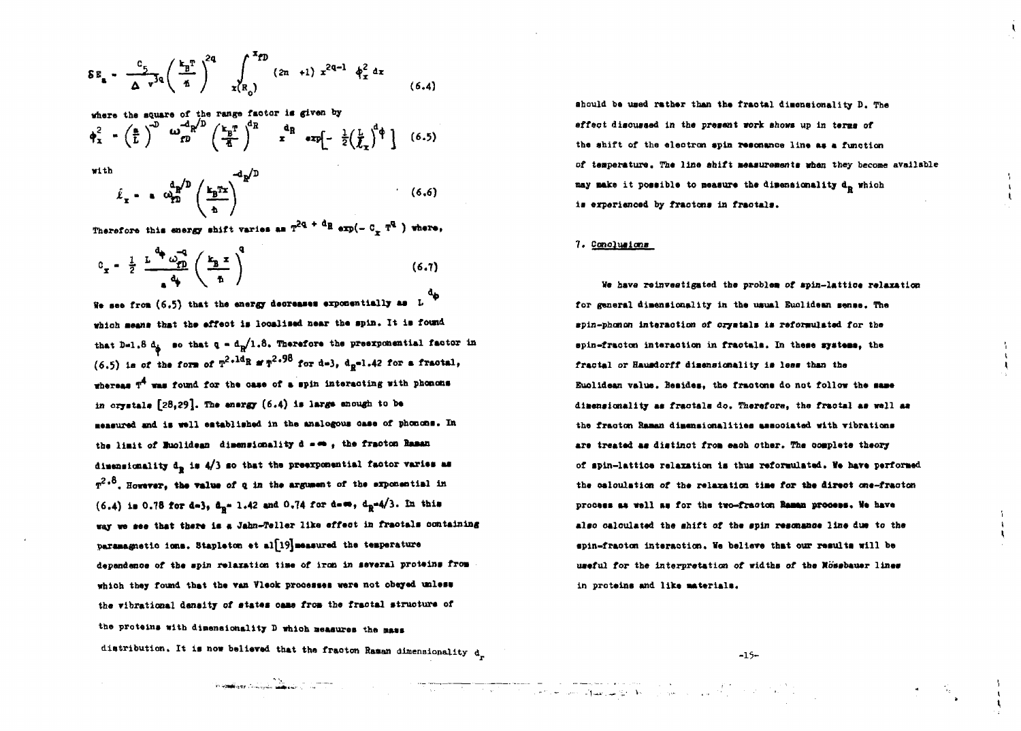$$
\delta E_{a} = \frac{c_{5}}{\Delta v^{3q}} \left(\frac{k_{B}^{T}}{\hbar}\right)^{2q} \int_{x(R_{0})}^{x_{fD}} (2n + 1) x^{2q-1} \phi_{x}^{2} dx
$$
 (6.4)

where the square of the range factor is given by

$$
\phi_x^2 - \left(\frac{a}{L}\right)^{-\omega} \omega_{D}^{-\omega_{N}^{-\omega}} \left(\frac{k_B T}{\overline{a}}\right)^{-\mu} x^{\alpha} \exp\left[-\frac{1}{2}\left(\frac{L}{\overline{L}_x}\right)^{\alpha} \right] \quad (6.5)
$$

with

$$
\hat{\ell}_x - \epsilon \frac{d_p}{dp} \left( \frac{k_p x}{\Delta} \right)^{-d_p/2} \tag{6.6}
$$

Therefore this energy shift varies as  $T^{2q + d}R$  exp(-  $C_T T^q$  ) where,

$$
c_x = \frac{1}{2} \frac{L^4 \omega_{\text{p}}^2}{4} \left(\frac{k_B x}{\hbar}\right)^4 \tag{6.7}
$$

We see from  $(6.5)$  that the energy decreases exponentially as  $L$ which means that the effect is localized near the spin. It is found that D=1.8  $d_{\hat{\theta}}$  so that  $q = d_{\hat{\theta}}/1.8$ . Therefore the preexponential factor in (6.5) is of the form of  $T^{2,1d}R$  at  $T^{2,96}$  for d=3, d<sub>p</sub>=1.42 for a fractal, whereas  $T^4$  was found for the case of a spin interacting with phonons in crystals  $[28,29]$ . The energy  $(6.4)$  is large enough to be measured and is well established in the analogous case of phonons. In the limit of Ruolidean dimensionality d = < , the fracton Raman dimensionality  $d_{\mathbb{R}}$  is  $4/3$  so that the preexponential factor varies as  $r^2 \cdot 8$ . However, the value of q in the argument of the exponential in  $(6.4)$  is 0.78 for d=3, d<sub>n</sub>= 1.42 and 0.74 for d= $\omega$ , d<sub>n</sub>=4/3. In this way we see that there is a Jahn-Teller like effect in fractals containing paramagnetic ions. Stapleton et al[19] measured the temperature dependence of the spin relaxation time of iron in several proteins from which they found that the van Vleck processes were not obeyed unless the vibrational density of states came from the fractal structure of the proteins with dimensionality D which measures the mass distribution. It is now believed that the fracton Raman dimensionality  $d_n$  should be used rather than the fractal dimensionality D. The effect discussed in the present work shows up in terms of the shift of the electron spin resonance line as a function of temperature. The line shift measurements when they become available may make it possible to measure the dimensionality d<sub>e</sub> which is experienced by fractons in fractals.

#### 7. Conclusions

We have reinvestigated the problem of spin-lattice relaxation for general dimensionality in the usual Euclidean sense. The spin-phonon interaction of crystals is reformulated for the spin-fracton interaction in fractals. In these systems, the fractal or Hausdorff dimensionality is less than the Euclidean value, Besides, the fractons do not follow the same dimensionality as fractals do. Therefore, the fractal as well as the fracton Raman dimensionalities associated with vibrations are treated as distinct from each other. The complete theory of spin-lattice relaxation is thus reformulated. We have performed the calculation of the relaxation time for the direct one-fracton process as well as for the two-fracton Raman process. We have also calculated the shift of the spin resonance line due to the spin-fracton interaction. We believe that our results will be useful for the interpretation of widths of the Nössbauer lines in proteins and like materials.

 $-15-$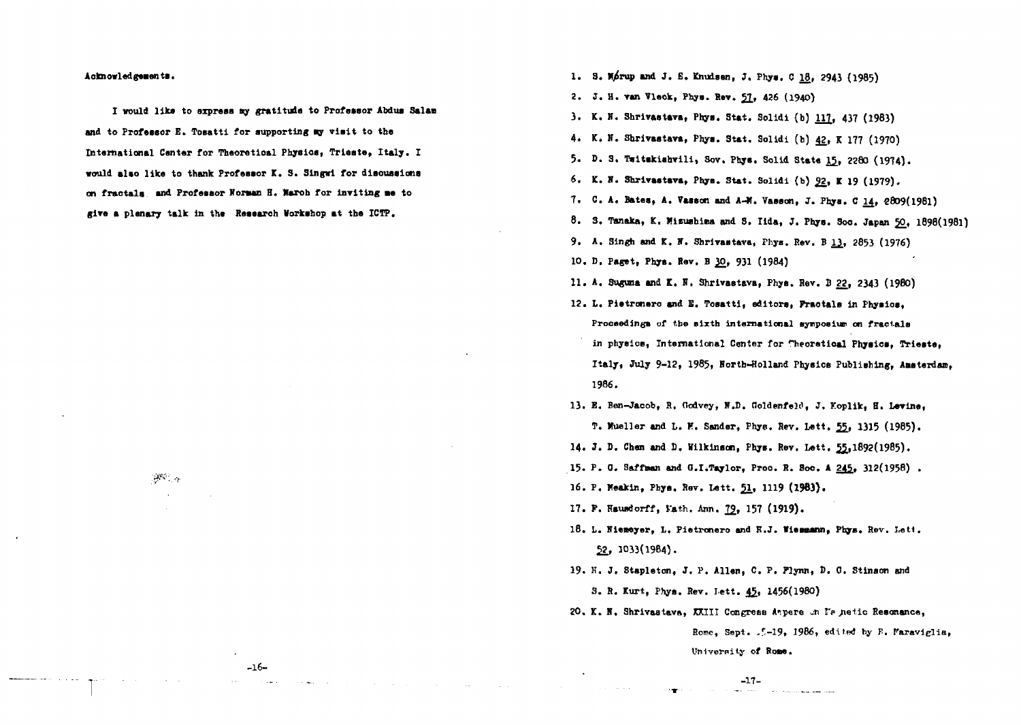**Aeknowledgeaen ta.**

**I vould lika to expreaa ay gratitude to Professor Abdua Sale** and to Professor E. Tosatti for supporting my visit to the **International Canter for Theoretioal Physioa, Trieste, Italy. I vould alao lik« to thank Professor K. 3. Singwi for diaousaiona on fractals and Professor Korean H. Raroh for inviting •• to** give a planary talk in the Research Workshop at the ICTP.

 $\mathbb{R}^{N\times N}$   $\alpha$ 

**I. 3. M/rup and J. E. Knudaen, J. Phys. C 18, 2943 (1985)**

- *Z.* **J. H. ran Vleok, Phya. Rev. ££., 426 (1940)**
- **3. K. K, Shrlrastava, Phya. Stat. Solidi (b)** *U]j* **437 (1983)**
- **4. K. N. Shrivaatavm, Phya. Stat. Solidi (b) ££, K 177 (1970)**
- **5. D. 3 . Taitakiahvili, Sov. Phya. Solid Stata 1^, 2280 (1974),**
- 6. K. N. Shrivastava, Phys. Stat. Solidi (b) 92, K 19 (1979).
- **7. C. A. Batea, A. Taaaon and A-M. Vaaaon, J. Phya. C 14, «8O9(l98l)**
- **8. 3. Tanaka, K. Kieuahina and 3. Iida, J. Phya. 3oc. Japan ^0, 1898(1981)**
- 9. A. Singh and K. N. Shrivastava, Phys. Rev. B 13, 2853 (1976)
- 10. D. Paget, Phys. Rev. B 30, 931 (1984)
- 11. A. Suguna and K. N. Shrivastava, Phys. Rev. B 22, 2343 (1980)
- **12.** *I,* **Piatronero and S. Toaatti, editors, F\*raotala in Phyaioa,** Proceedings of the sixth international symposium on fractals **in phyeice, International Center for rheoretioal Phyaiea, Trieste, Italy, July 9-12, 1985, Forth-Holland Physics Publishing, AMteidan, 1986.**
- **13. B. Ben-Jacob, H, Oodvey, lf.D. ftoldenfelci, J. Koplilc, H. Lerine, T. Mueller and L. H. Sander, Fhys. Sev. Lett.** *^,* **1315 (1985).**
- **14. J. D. Chen and D. Wilkinson, Phys. Rev. Lett. 5£,l892(l9B5).**
- **15. P. 0. Saffman and O.I.Taylor, Proo. R. Soo. A 24^, 312(1958) .**
- **16. P. Koakin, Pbya. Rev. Lett. £1., 1119 (1963).**
- **17. P. KauixJorff, i'ath. Ann.** *]%,* **157 (1919).**
- 18. L. Niemeyer, L. Pietronero and H.J. Wiemmann, Phys. Rev. Lett. **^2, 3033(1984).**
- **19. K. J, Stapleton, J. P. Allen, C. P. Plynn,** *V.* **0. Stinaon and 3 . R. Kurt, Phys. Rev. Lett. 4J>i 1456(1980)**
- **20. K. N, Shrivaatava, XXIII Congress Aipere -n** *VP* **/ietic Resonance,**

**Home, Sept. .5-19, 1986, edited by P. Waraviglia, UnIvornily of Bone.**

**-16-**